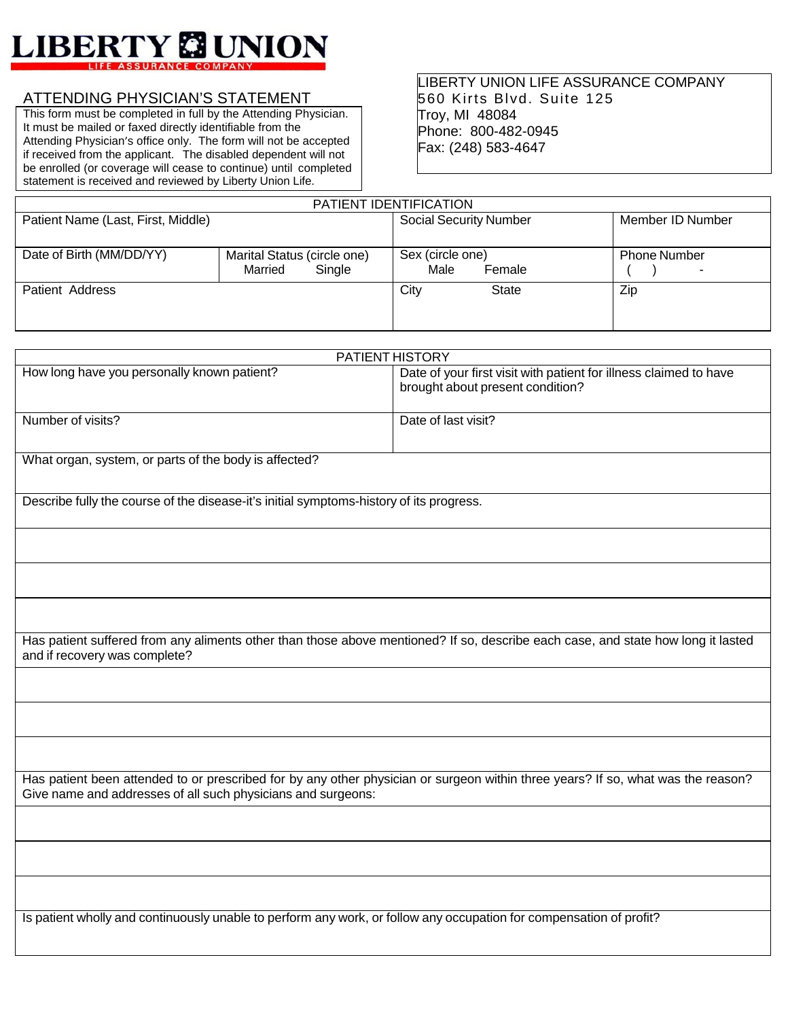

## ATTENDING PHYSICIAN'S STATEMENT

This form must be completed in full by the Attending Physician. It must be mailed or faxed directly identifiable from the Attending Physician's office only. The form will not be accepted if received from the applicant. The disabled dependent will not be enrolled (or coverage will cease to continue) until completed statement is received and reviewed by Liberty Union Life.

## LIBERTY UNION LIFE ASSURANCE COMPANY 560 Kirts Blvd. Suite 125 Troy, MI 48084 Phone: 800-482-0945 Fax: (248) 583-4647

| PATIENT IDENTIFICATION             |                                                  |                                    |                          |  |  |  |
|------------------------------------|--------------------------------------------------|------------------------------------|--------------------------|--|--|--|
| Patient Name (Last, First, Middle) |                                                  | <b>Social Security Number</b>      | Member ID Number         |  |  |  |
| Date of Birth (MM/DD/YY)           | Marital Status (circle one)<br>Married<br>Single | Sex (circle one)<br>Male<br>Female | <b>Phone Number</b><br>- |  |  |  |
| Patient Address                    |                                                  | City<br><b>State</b>               | Zip                      |  |  |  |

| <b>PATIENT HISTORY</b>                      |                                                                                                       |  |  |  |
|---------------------------------------------|-------------------------------------------------------------------------------------------------------|--|--|--|
| How long have you personally known patient? | Date of your first visit with patient for illness claimed to have<br>brought about present condition? |  |  |  |
| Number of visits?                           | Date of last visit?                                                                                   |  |  |  |

What organ, system, or parts of the body is affected?

Describe fully the course of the disease-it's initial symptoms-history of its progress.

Has patient suffered from any aliments other than those above mentioned? If so, describe each case, and state how long it lasted and if recovery was complete?

Has patient been attended to or prescribed for by any other physician or surgeon within three years? If so, what was the reason? Give name and addresses of all such physicians and surgeons:

Is patient wholly and continuously unable to perform any work, or follow any occupation for compensation of profit?